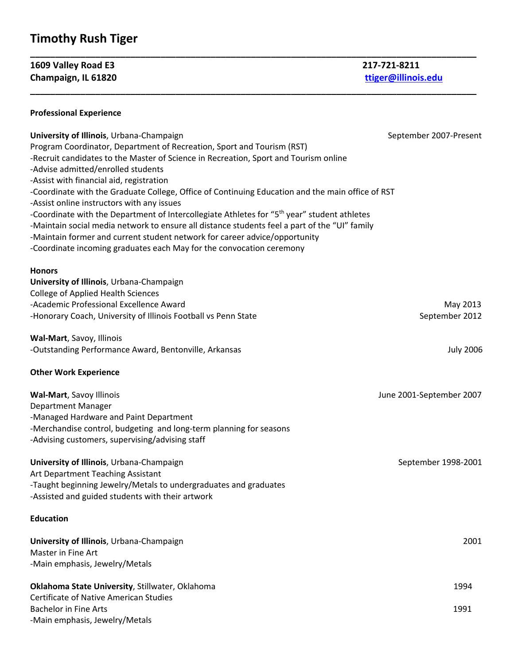## **Timothy Rush Tiger**

**1609 Valley Road E3 217‐721‐8211 Champaign, IL 61820 ttiger@illinois.edu**

## **Professional Experience**

| University of Illinois, Urbana-Champaign<br>Program Coordinator, Department of Recreation, Sport and Tourism (RST)<br>-Recruit candidates to the Master of Science in Recreation, Sport and Tourism online<br>-Advise admitted/enrolled students<br>-Assist with financial aid, registration<br>-Coordinate with the Graduate College, Office of Continuing Education and the main office of RST<br>-Assist online instructors with any issues<br>-Coordinate with the Department of Intercollegiate Athletes for "5 <sup>th</sup> year" student athletes<br>-Maintain social media network to ensure all distance students feel a part of the "UI" family<br>-Maintain former and current student network for career advice/opportunity<br>-Coordinate incoming graduates each May for the convocation ceremony | September 2007-Present   |
|------------------------------------------------------------------------------------------------------------------------------------------------------------------------------------------------------------------------------------------------------------------------------------------------------------------------------------------------------------------------------------------------------------------------------------------------------------------------------------------------------------------------------------------------------------------------------------------------------------------------------------------------------------------------------------------------------------------------------------------------------------------------------------------------------------------|--------------------------|
| <b>Honors</b>                                                                                                                                                                                                                                                                                                                                                                                                                                                                                                                                                                                                                                                                                                                                                                                                    |                          |
| University of Illinois, Urbana-Champaign<br><b>College of Applied Health Sciences</b>                                                                                                                                                                                                                                                                                                                                                                                                                                                                                                                                                                                                                                                                                                                            |                          |
| -Academic Professional Excellence Award                                                                                                                                                                                                                                                                                                                                                                                                                                                                                                                                                                                                                                                                                                                                                                          | May 2013                 |
| -Honorary Coach, University of Illinois Football vs Penn State                                                                                                                                                                                                                                                                                                                                                                                                                                                                                                                                                                                                                                                                                                                                                   | September 2012           |
| Wal-Mart, Savoy, Illinois                                                                                                                                                                                                                                                                                                                                                                                                                                                                                                                                                                                                                                                                                                                                                                                        |                          |
| -Outstanding Performance Award, Bentonville, Arkansas                                                                                                                                                                                                                                                                                                                                                                                                                                                                                                                                                                                                                                                                                                                                                            | <b>July 2006</b>         |
| <b>Other Work Experience</b>                                                                                                                                                                                                                                                                                                                                                                                                                                                                                                                                                                                                                                                                                                                                                                                     |                          |
| Wal-Mart, Savoy Illinois                                                                                                                                                                                                                                                                                                                                                                                                                                                                                                                                                                                                                                                                                                                                                                                         | June 2001-September 2007 |
| Department Manager                                                                                                                                                                                                                                                                                                                                                                                                                                                                                                                                                                                                                                                                                                                                                                                               |                          |
| -Managed Hardware and Paint Department                                                                                                                                                                                                                                                                                                                                                                                                                                                                                                                                                                                                                                                                                                                                                                           |                          |
| -Merchandise control, budgeting and long-term planning for seasons<br>-Advising customers, supervising/advising staff                                                                                                                                                                                                                                                                                                                                                                                                                                                                                                                                                                                                                                                                                            |                          |
| University of Illinois, Urbana-Champaign                                                                                                                                                                                                                                                                                                                                                                                                                                                                                                                                                                                                                                                                                                                                                                         | September 1998-2001      |
| Art Department Teaching Assistant                                                                                                                                                                                                                                                                                                                                                                                                                                                                                                                                                                                                                                                                                                                                                                                |                          |
| -Taught beginning Jewelry/Metals to undergraduates and graduates<br>-Assisted and guided students with their artwork                                                                                                                                                                                                                                                                                                                                                                                                                                                                                                                                                                                                                                                                                             |                          |
| <b>Education</b>                                                                                                                                                                                                                                                                                                                                                                                                                                                                                                                                                                                                                                                                                                                                                                                                 |                          |
| University of Illinois, Urbana-Champaign                                                                                                                                                                                                                                                                                                                                                                                                                                                                                                                                                                                                                                                                                                                                                                         | 2001                     |
| Master in Fine Art<br>-Main emphasis, Jewelry/Metals                                                                                                                                                                                                                                                                                                                                                                                                                                                                                                                                                                                                                                                                                                                                                             |                          |
|                                                                                                                                                                                                                                                                                                                                                                                                                                                                                                                                                                                                                                                                                                                                                                                                                  |                          |
| Oklahoma State University, Stillwater, Oklahoma<br><b>Certificate of Native American Studies</b>                                                                                                                                                                                                                                                                                                                                                                                                                                                                                                                                                                                                                                                                                                                 | 1994                     |
| <b>Bachelor in Fine Arts</b>                                                                                                                                                                                                                                                                                                                                                                                                                                                                                                                                                                                                                                                                                                                                                                                     | 1991                     |
| -Main emphasis, Jewelry/Metals                                                                                                                                                                                                                                                                                                                                                                                                                                                                                                                                                                                                                                                                                                                                                                                   |                          |
|                                                                                                                                                                                                                                                                                                                                                                                                                                                                                                                                                                                                                                                                                                                                                                                                                  |                          |

**\_\_\_\_\_\_\_\_\_\_\_\_\_\_\_\_\_\_\_\_\_\_\_\_\_\_\_\_\_\_\_\_\_\_\_\_\_\_\_\_\_\_\_\_\_\_\_\_\_\_\_\_\_\_\_\_\_\_\_\_\_\_\_\_\_\_\_\_\_\_\_\_\_\_\_\_\_\_\_\_\_\_\_\_\_\_\_\_\_**

**\_\_\_\_\_\_\_\_\_\_\_\_\_\_\_\_\_\_\_\_\_\_\_\_\_\_\_\_\_\_\_\_\_\_\_\_\_\_\_\_\_\_\_\_\_\_\_\_\_\_\_\_\_\_\_\_\_\_\_\_\_\_\_\_\_\_\_\_\_\_\_\_\_\_\_\_\_\_\_\_\_\_\_\_\_\_\_\_\_**